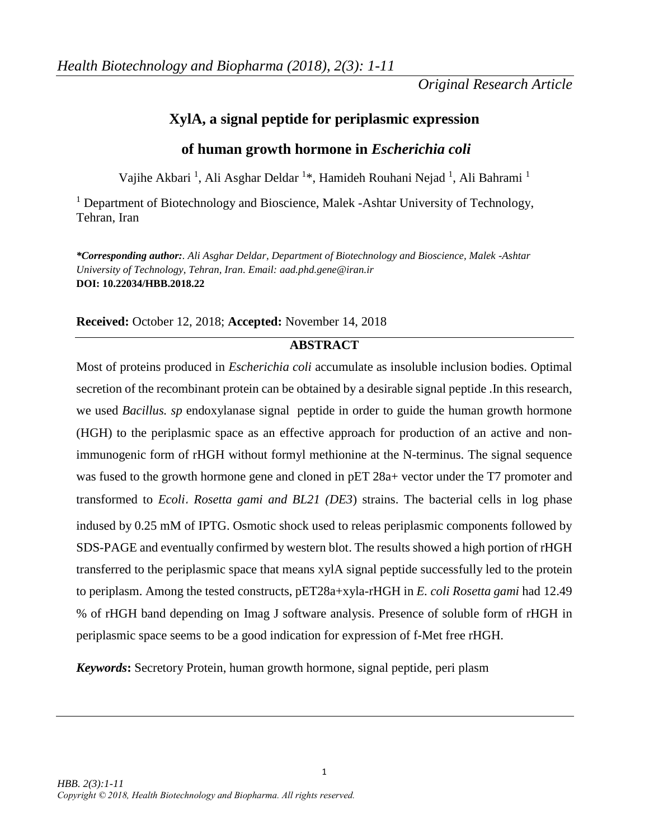*Original Research Article*

# **XylA, a signal peptide for periplasmic expression**

# **of human growth hormone in** *Escherichia coli*

Vajihe Akbari<sup>1</sup>, Ali Asghar Deldar<sup>1\*</sup>, Hamideh Rouhani Nejad<sup>1</sup>, Ali Bahrami<sup>1</sup>

<sup>1</sup> Department of Biotechnology and Bioscience, Malek -Ashtar University of Technology, Tehran, Iran

*\*Corresponding author:. Ali Asghar Deldar, Department of Biotechnology and Bioscience, Malek -Ashtar University of Technology, Tehran, Iran. Email: aad.phd.gene@iran.ir* **DOI: 10.22034/HBB.2018.22**

# **Received:** October 12, 2018; **Accepted:** November 14, 2018

# **ABSTRACT**

Most of proteins produced in *Escherichia coli* accumulate as insoluble inclusion bodies. Optimal secretion of the recombinant protein can be obtained by a desirable signal peptide .In this research, we used *Bacillus. sp* endoxylanase signal peptide in order to guide the human growth hormone (HGH) to the periplasmic space as an effective approach for production of an active and nonimmunogenic form of rHGH without formyl methionine at the N-terminus. The signal sequence was fused to the growth hormone gene and cloned in pET 28a+ vector under the T7 promoter and transformed to *Ecoli*، *Rosetta gami and BL21 (DE3*) strains. The bacterial cells in log phase indused by 0.25 mM of IPTG. Osmotic shock used to releas periplasmic components followed by SDS-PAGE and eventually confirmed by western blot. The results showed a high portion of rHGH transferred to the periplasmic space that means xylA signal peptide successfully led to the protein to periplasm. Among the tested constructs, pET28a+xyla-rHGH in *E. coli Rosetta gami* had 12.49 % of rHGH band depending on Imag J software analysis. Presence of soluble form of rHGH in periplasmic space seems to be a good indication for expression of f-Met free rHGH.

*Keywords***:** Secretory Protein, human growth hormone, signal peptide, peri plasm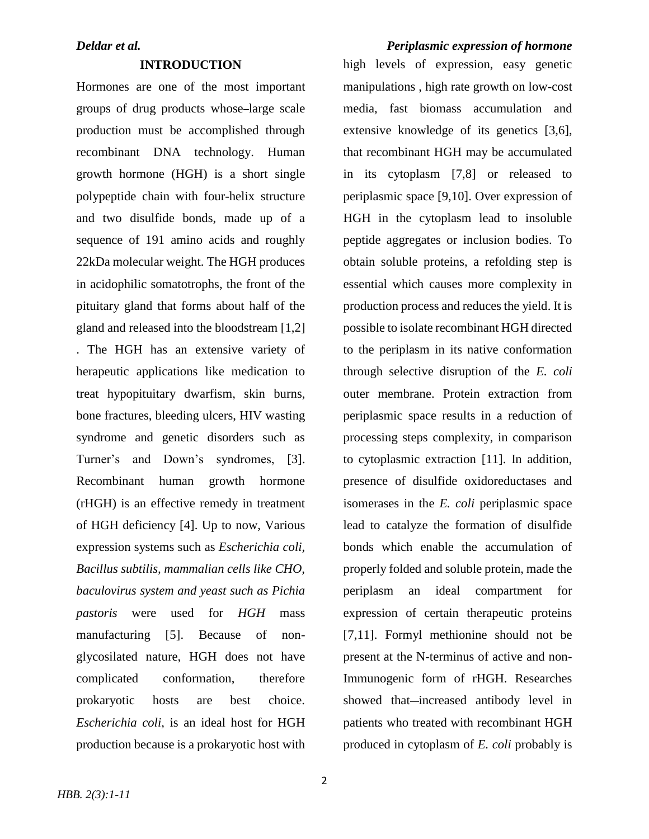### **INTRODUCTION**

Hormones are one of the most important groups of drug products whose large scale production must be accomplished through recombinant DNA technology. Human growth hormone (HGH) is a short single polypeptide chain with four-helix structure and two disulfide bonds, made up of a sequence of 191 amino acids and roughly 22kDa molecular weight. The HGH produces in acidophilic somatotrophs, the front of the pituitary gland that forms about half of the gland and released into the bloodstream [1,2] . The HGH has an extensive variety of herapeutic applications like medication to treat hypopituitary dwarfism, skin burns, bone fractures, bleeding ulcers, HIV wasting syndrome and genetic disorders such as Turner's and Down's syndromes, [3]. Recombinant human growth hormone (rHGH) is an effective remedy in treatment of HGH deficiency [4]. Up to now, Various expression systems such as *Escherichia coli, Bacillus subtilis, mammalian cells like CHO, baculovirus system and yeast such as Pichia pastoris* were used for *HGH* mass manufacturing [5]. Because of nonglycosilated nature, HGH does not have complicated conformation, therefore prokaryotic hosts are best choice. *Escherichia coli*, is an ideal host for HGH production because is a prokaryotic host with

high levels of expression, easy genetic manipulations , high rate growth on low-cost media, fast biomass accumulation and extensive knowledge of its genetics [3,6], that recombinant HGH may be accumulated in its cytoplasm [7,8] or released to periplasmic space [9,10]. Over expression of HGH in the cytoplasm lead to insoluble peptide aggregates or inclusion bodies. To obtain soluble proteins, a refolding step is essential which causes more complexity in production process and reduces the yield. It is possible to isolate recombinant HGH directed to the periplasm in its native conformation through selective disruption of the *E. coli* outer membrane. Protein extraction from periplasmic space results in a reduction of processing steps complexity, in comparison to cytoplasmic extraction [11]. In addition, presence of disulfide oxidoreductases and isomerases in the *E. coli* periplasmic space lead to catalyze the formation of disulfide bonds which enable the accumulation of properly folded and soluble protein, made the periplasm an ideal compartment for expression of certain therapeutic proteins [7,11]. Formyl methionine should not be present at the N-terminus of active and non-Immunogenic form of rHGH. Researches showed that—increased antibody level in patients who treated with recombinant HGH produced in cytoplasm of *E. coli* probably is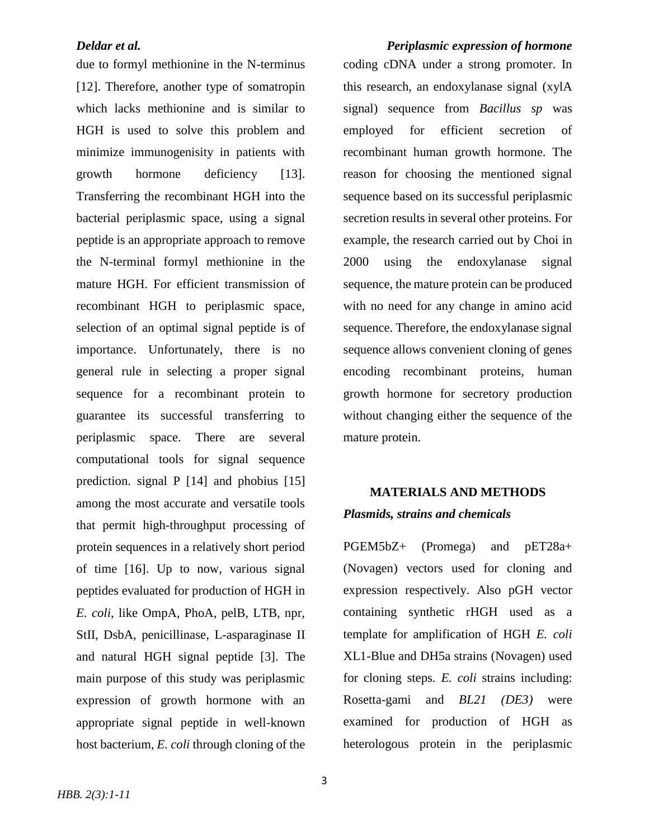due to formyl methionine in the N-terminus [12]. Therefore, another type of somatropin which lacks methionine and is similar to HGH is used to solve this problem and minimize immunogenisity in patients with growth hormone deficiency [13]. Transferring the recombinant HGH into the bacterial periplasmic space, using a signal peptide is an appropriate approach to remove the N-terminal formyl methionine in the mature HGH. For efficient transmission of recombinant HGH to periplasmic space, selection of an optimal signal peptide is of importance. Unfortunately, there is no general rule in selecting a proper signal sequence for a recombinant protein to guarantee its successful transferring to periplasmic space. There are several computational tools for signal sequence prediction. signal P [14] and phobius [15] among the most accurate and versatile tools that permit high-throughput processing of protein sequences in a relatively short period of time [16]. Up to now, various signal peptides evaluated for production of HGH in *E. coli*, like OmpA, PhoA, pelB, LTB, npr, StII, DsbA, penicillinase, L-asparaginase II and natural HGH signal peptide [3]. The main purpose of this study was periplasmic expression of growth hormone with an appropriate signal peptide in well-known host bacterium*, E. coli* through cloning of the

*Deldar et al. Periplasmic expression of hormone* coding cDNA under a strong promoter. In this research, an endoxylanase signal (xylA signal) sequence from *Bacillus sp* was employed for efficient secretion of recombinant human growth hormone. The reason for choosing the mentioned signal sequence based on its successful periplasmic secretion results in several other proteins. For example, the research carried out by Choi in 2000 using the endoxylanase signal sequence, the mature protein can be produced with no need for any change in amino acid sequence. Therefore, the endoxylanase signal sequence allows convenient cloning of genes encoding recombinant proteins, human growth hormone for secretory production without changing either the sequence of the mature protein.

# **MATERIALS AND METHODS** *Plasmids, strains and chemicals*

PGEM5bZ+ (Promega) and pET28a+ (Novagen) vectors used for cloning and expression respectively. Also pGH vector containing synthetic rHGH used as a template for amplification of HGH *E. coli* XL1-Blue and DH5a strains (Novagen) used for cloning steps. *E. coli* strains including: Rosetta-gami and *BL21 (DE3)* were examined for production of HGH as heterologous protein in the periplasmic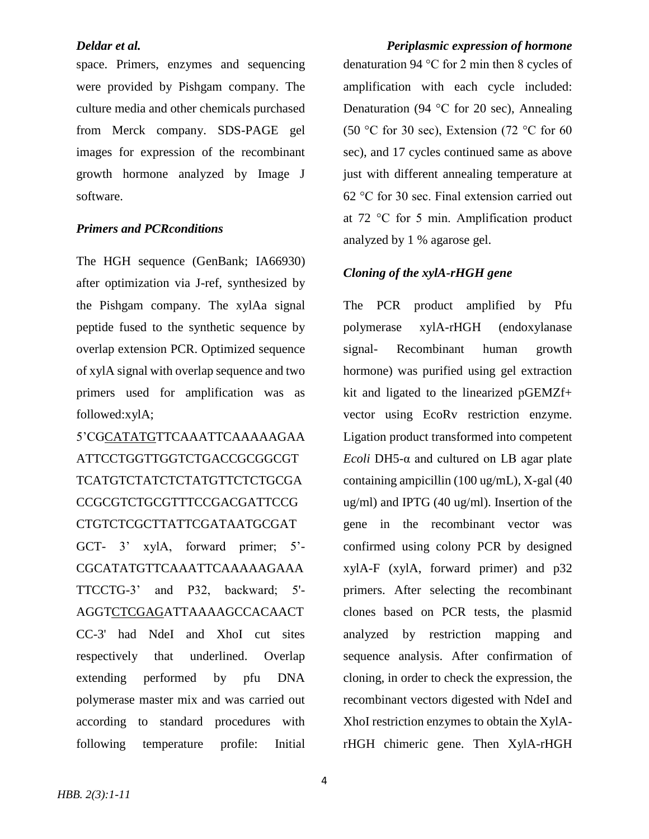space. Primers, enzymes and sequencing were provided by Pishgam company. The culture media and other chemicals purchased from Merck company. SDS-PAGE gel images for expression of the recombinant growth hormone analyzed by Image J software.

# *Primers and PCRconditions*

The HGH sequence (GenBank; IA66930) after optimization via J-ref, synthesized by the Pishgam company. The xylAa signal peptide fused to the synthetic sequence by overlap extension PCR. Optimized sequence of xylA signal with overlap sequence and two primers used for amplification was as followed:xylA;

5'CGCATATGTTCAAATTCAAAAAGAA ATTCCTGGTTGGTCTGACCGCGGCGT TCATGTCTATCTCTATGTTCTCTGCGA CCGCGTCTGCGTTTCCGACGATTCCG CTGTCTCGCTTATTCGATAATGCGAT GCT- 3' xylA, forward primer; 5'- CGCATATGTTCAAATTCAAAAAGAAA TTCCTG-3' and P32, backward; 5'- AGGTCTCGAGATTAAAAGCCACAACT CC-3' had NdeI and XhoI cut sites respectively that underlined. Overlap extending performed by pfu DNA polymerase master mix and was carried out according to standard procedures with following temperature profile: Initial

*Deldar et al. Periplasmic expression of hormone* denaturation 94 °C for 2 min then 8 cycles of amplification with each cycle included: Denaturation (94  $\degree$ C for 20 sec), Annealing (50 °C for 30 sec), Extension (72 °C for 60 sec), and 17 cycles continued same as above just with different annealing temperature at 62 °C for 30 sec. Final extension carried out at 72 °C for 5 min. Amplification product analyzed by 1 % agarose gel.

### *Cloning of the xylA-rHGH gene*

The PCR product amplified by Pfu polymerase xylA-rHGH (endoxylanase signal- Recombinant human growth hormone) was purified using gel extraction kit and ligated to the linearized pGEMZf+ vector using EcoRv restriction enzyme. Ligation product transformed into competent *Ecoli* DH5-α and cultured on LB agar plate containing ampicillin (100 ug/mL), X-gal (40 ug/ml) and IPTG (40 ug/ml). Insertion of the gene in the recombinant vector was confirmed using colony PCR by designed xylA-F (xylA, forward primer) and p32 primers. After selecting the recombinant clones based on PCR tests, the plasmid analyzed by restriction mapping and sequence analysis. After confirmation of cloning, in order to check the expression, the recombinant vectors digested with NdeI and XhoI restriction enzymes to obtain the XylArHGH chimeric gene. Then XylA-rHGH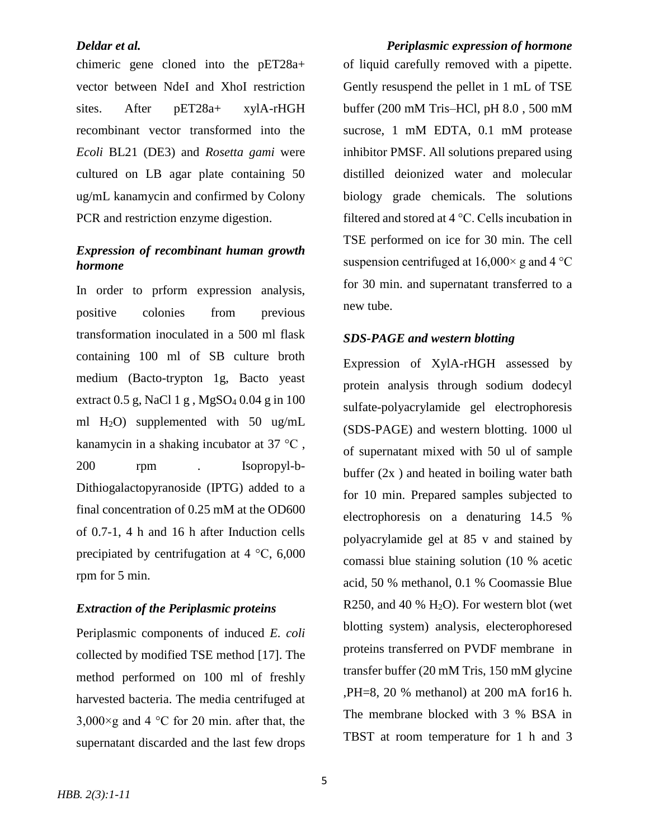chimeric gene cloned into the pET28a+ vector between NdeI and XhoI restriction sites. After pET28a+ xylA-rHGH recombinant vector transformed into the *Ecoli* BL21 (DE3) and *Rosetta gami* were cultured on LB agar plate containing 50 ug/mL kanamycin and confirmed by Colony PCR and restriction enzyme digestion.

# *Expression of recombinant human growth hormone*

In order to prform expression analysis, positive colonies from previous transformation inoculated in a 500 ml flask containing 100 ml of SB culture broth medium (Bacto-trypton 1g, Bacto yeast extract  $0.5$  g, NaCl 1 g, MgSO<sub>4</sub>  $0.04$  g in 100 ml H2O) supplemented with 50 ug/mL kanamycin in a shaking incubator at 37 °C , 200 rpm . Isopropyl-b-Dithiogalactopyranoside (IPTG) added to a final concentration of 0.25 mM at the OD600 of 0.7-1, 4 h and 16 h after Induction cells precipiated by centrifugation at 4 °C, 6,000 rpm for 5 min.

# *Extraction of the Periplasmic proteins*

Periplasmic components of induced *E. coli*  collected by modified TSE method [17]. The method performed on 100 ml of freshly harvested bacteria. The media centrifuged at  $3,000\times$ g and 4 °C for 20 min. after that, the supernatant discarded and the last few drops

*Deldar et al. Periplasmic expression of hormone* of liquid carefully removed with a pipette. Gently resuspend the pellet in 1 mL of TSE buffer (200 mM Tris–HCl, pH 8.0 , 500 mM sucrose, 1 mM EDTA, 0.1 mM protease inhibitor PMSF. All solutions prepared using distilled deionized water and molecular biology grade chemicals. The solutions filtered and stored at 4 °C. Cells incubation in TSE performed on ice for 30 min. The cell suspension centrifuged at  $16,000 \times g$  and  $4 \degree C$ for 30 min. and supernatant transferred to a new tube.

## *SDS-PAGE and western blotting*

Expression of XylA-rHGH assessed by protein analysis through sodium dodecyl sulfate-polyacrylamide gel electrophoresis (SDS-PAGE) and western blotting. 1000 ul of supernatant mixed with 50 ul of sample buffer  $(2x)$  and heated in boiling water bath for 10 min. Prepared samples subjected to electrophoresis on a denaturing 14.5 % polyacrylamide gel at 85 v and stained by comassi blue staining solution (10 % acetic acid, 50 % methanol, 0.1 % Coomassie Blue R250, and 40 %  $H<sub>2</sub>O$ ). For western blot (wet blotting system) analysis, electerophoresed proteins transferred on PVDF membrane in transfer buffer (20 mM Tris, 150 mM glycine ,PH=8, 20 % methanol) at 200 mA for16 h. The membrane blocked with 3 % BSA in TBST at room temperature for 1 h and 3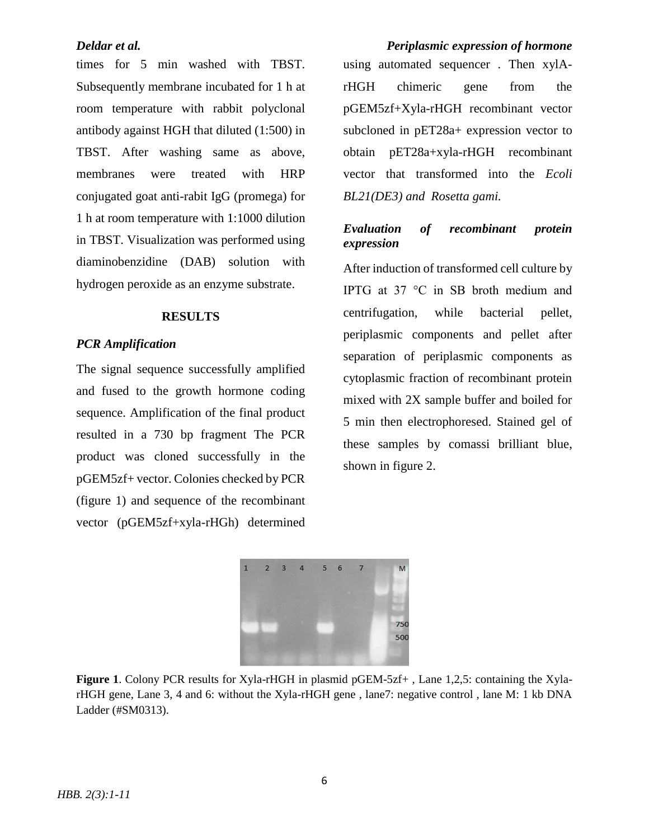times for 5 min washed with TBST. Subsequently membrane incubated for 1 h at room temperature with rabbit polyclonal antibody against HGH that diluted (1:500) in TBST. After washing same as above, membranes were treated with HRP conjugated goat anti-rabit IgG (promega) for 1 h at room temperature with 1:1000 dilution in TBST. Visualization was performed using diaminobenzidine (DAB) solution with hydrogen peroxide as an enzyme substrate.

### **RESULTS**

## *PCR Amplification*

The signal sequence successfully amplified and fused to the growth hormone coding sequence. Amplification of the final product resulted in a 730 bp fragment The PCR product was cloned successfully in the pGEM5zf+ vector. Colonies checked by PCR (figure 1) and sequence of the recombinant vector (pGEM5zf+xyla-rHGh) determined

*Deldar et al. Periplasmic expression of hormone* using automated sequencer . Then xylArHGH chimeric gene from the pGEM5zf+Xyla-rHGH recombinant vector subcloned in pET28a+ expression vector to obtain pET28a+xyla-rHGH recombinant vector that transformed into the *Ecoli BL21(DE3) and Rosetta gami.*

# *Evaluation of recombinant protein expression*

After induction of transformed cell culture by IPTG at 37 °C in SB broth medium and centrifugation, while bacterial pellet, periplasmic components and pellet after separation of periplasmic components as cytoplasmic fraction of recombinant protein mixed with 2X sample buffer and boiled for 5 min then electrophoresed. Stained gel of these samples by comassi brilliant blue, shown in figure 2.



**Figure 1**. Colony PCR results for Xyla-rHGH in plasmid pGEM-5zf+, Lane 1,2,5: containing the XylarHGH gene, Lane 3, 4 and 6: without the Xyla-rHGH gene , lane7: negative control , lane M: 1 kb DNA Ladder (#SM0313).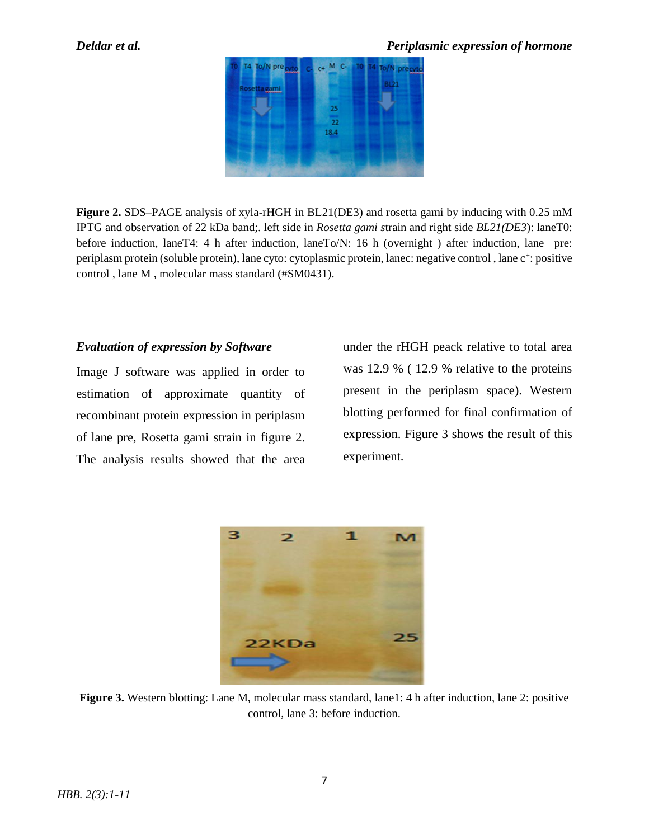

**Figure 2.** SDS–PAGE analysis of xyla-rHGH in BL21(DE3) and rosetta gami by inducing with 0.25 mM IPTG and observation of 22 kDa band;. left side in *Rosetta gami s*train and right side *BL21(DE3*): laneT0: before induction, laneT4: 4 h after induction, laneTo/N: 16 h (overnight ) after induction, lane pre: periplasm protein (soluble protein), lane cyto: cytoplasmic protein, lanec: negative control, lane c<sup>+</sup>: positive control , lane M , molecular mass standard (#SM0431).

# *Evaluation of expression by Software*

Image J software was applied in order to estimation of approximate quantity of recombinant protein expression in periplasm of lane pre, Rosetta gami strain in figure 2. The analysis results showed that the area under the rHGH peack relative to total area was 12.9 % ( 12.9 % relative to the proteins present in the periplasm space). Western blotting performed for final confirmation of expression. Figure 3 shows the result of this experiment.



**Figure 3.** Western blotting: Lane M, molecular mass standard, lane1: 4 h after induction, lane 2: positive control, lane 3: before induction.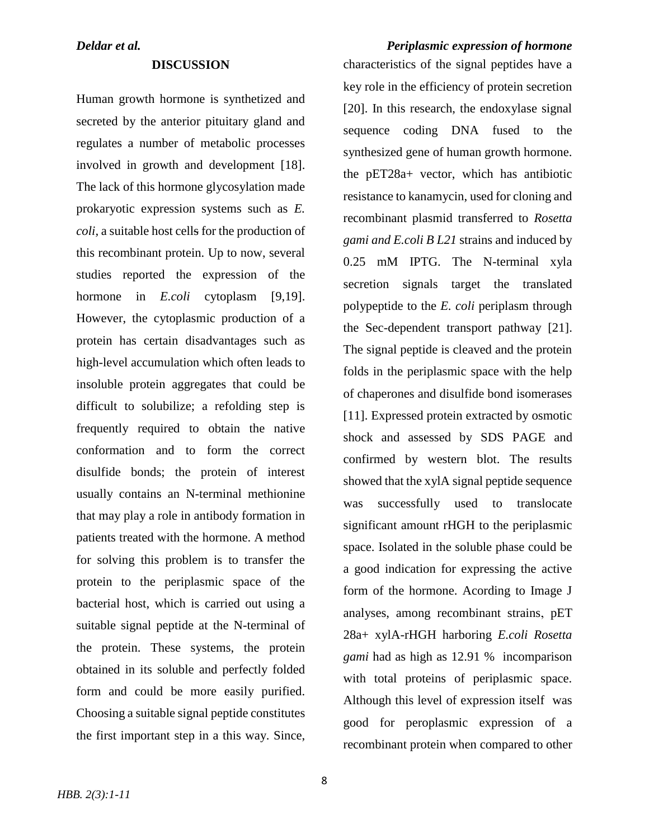### **DISCUSSION**

Human growth hormone is synthetized and secreted by the anterior pituitary gland and regulates a number of metabolic processes involved in growth and development [18]. The lack of this hormone glycosylation made prokaryotic expression systems such as *E. coli,* a suitable host cells for the production of this recombinant protein. Up to now, several studies reported the expression of the hormone in *E.coli* cytoplasm [9,19]. However, the cytoplasmic production of a protein has certain disadvantages such as high-level accumulation which often leads to insoluble protein aggregates that could be difficult to solubilize; a refolding step is frequently required to obtain the native conformation and to form the correct disulfide bonds; the protein of interest usually contains an N-terminal methionine that may play a role in antibody formation in patients treated with the hormone. A method for solving this problem is to transfer the protein to the periplasmic space of the bacterial host, which is carried out using a suitable signal peptide at the N-terminal of the protein. These systems, the protein obtained in its soluble and perfectly folded form and could be more easily purified. Choosing a suitable signal peptide constitutes the first important step in a this way. Since,

*HBB. 2(3):1-11*

*Deldar et al. Periplasmic expression of hormone* characteristics of the signal peptides have a key role in the efficiency of protein secretion [20]. In this research, the endoxylase signal sequence coding DNA fused to the synthesized gene of human growth hormone. the pET28a+ vector, which has antibiotic resistance to kanamycin, used for cloning and recombinant plasmid transferred to *Rosetta gami and E.coli B L21* strains and induced by 0.25 mM IPTG. The N-terminal xyla secretion signals target the translated polypeptide to the *E. coli* periplasm through the Sec-dependent transport pathway [21]. The signal peptide is cleaved and the protein folds in the periplasmic space with the help of chaperones and disulfide bond isomerases [11]. Expressed protein extracted by osmotic shock and assessed by SDS PAGE and confirmed by western blot. The results showed that the xylA signal peptide sequence was successfully used to translocate significant amount rHGH to the periplasmic space. Isolated in the soluble phase could be a good indication for expressing the active form of the hormone. Acording to Image J analyses, among recombinant strains, pET 28a+ xylA-rHGH harboring *E.coli Rosetta gami* had as high as 12.91 % incomparison with total proteins of periplasmic space. Although this level of expression itself was good for peroplasmic expression of a recombinant protein when compared to other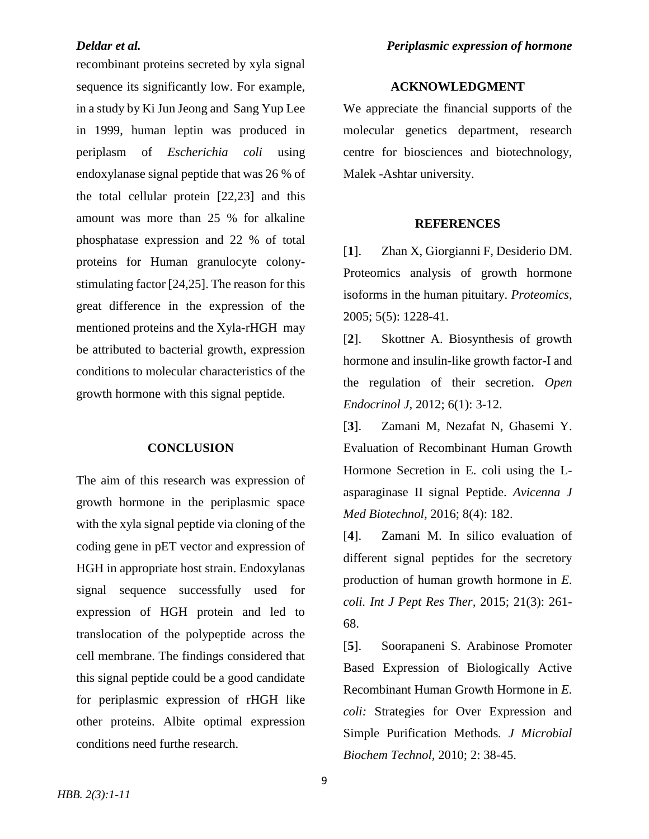recombinant proteins secreted by xyla signal sequence its significantly low. For example, in a study by Ki Jun Jeong and Sang Yup Lee in 1999, human leptin was produced in periplasm of *Escherichia coli* using endoxylanase signal peptide that was 26 % of the total cellular protein [22,23] and this amount was more than 25 % for alkaline phosphatase expression and 22 % of total proteins for Human granulocyte colonystimulating factor [24,25]. The reason for this great difference in the expression of the mentioned proteins and the Xyla-rHGH may be attributed to bacterial growth, expression conditions to molecular characteristics of the growth hormone with this signal peptide.

### **CONCLUSION**

The aim of this research was expression of growth hormone in the periplasmic space with the xyla signal peptide via cloning of the coding gene in pET vector and expression of HGH in appropriate host strain. Endoxylanas signal sequence successfully used for expression of HGH protein and led to translocation of the polypeptide across the cell membrane. The findings considered that this signal peptide could be a good candidate for periplasmic expression of rHGH like other proteins. Albite optimal expression conditions need furthe research.

### **ACKNOWLEDGMENT**

We appreciate the financial supports of the molecular genetics department, research centre for biosciences and biotechnology, Malek -Ashtar university.

### **REFERENCES**

[**1**]. Zhan X, Giorgianni F, Desiderio DM. Proteomics analysis of growth hormone isoforms in the human pituitary. *Proteomics*, 2005; 5(5): 1228-41.

[**2**]. Skottner A. Biosynthesis of growth hormone and insulin-like growth factor-I and the regulation of their secretion. *Open Endocrinol J,* 2012; 6(1): 3-12.

[**3**]. Zamani M, Nezafat N, Ghasemi Y. Evaluation of Recombinant Human Growth Hormone Secretion in E. coli using the Lasparaginase II signal Peptide. *Avicenna J Med Biotechnol,* 2016; 8(4): 182.

[**4**]. Zamani M. In silico evaluation of different signal peptides for the secretory production of human growth hormone in *E. coli. Int J Pept Res Ther,* 2015; 21(3): 261- 68.

[**5**]. Soorapaneni S. Arabinose Promoter Based Expression of Biologically Active Recombinant Human Growth Hormone in *E. coli:* Strategies for Over Expression and Simple Purification Methods*. J Microbial Biochem Technol,* 2010; 2: 38-45.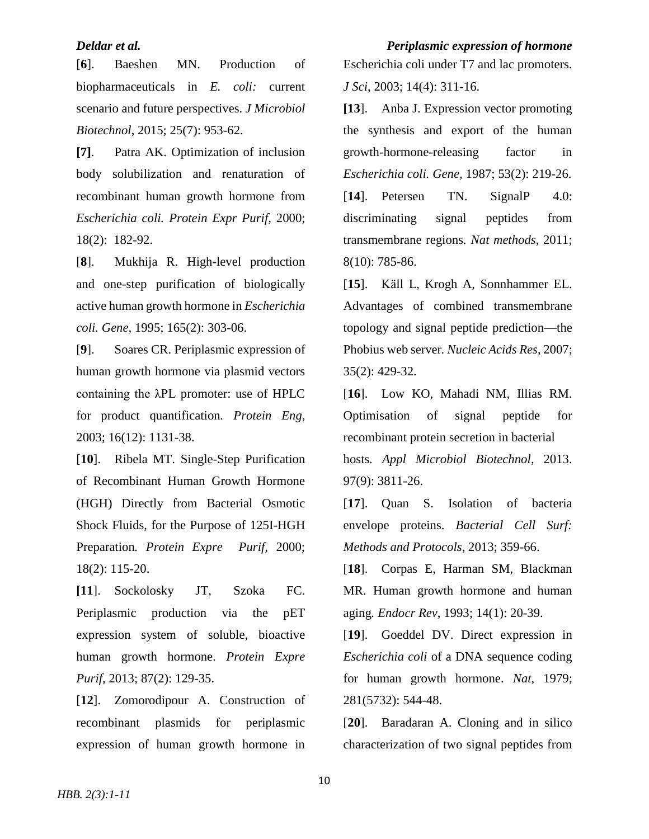[**6**]. Baeshen MN. Production of biopharmaceuticals in *E. coli:* current scenario and future perspectives. *J Microbiol Biotechnol*, 2015; 25(7): 953-62.

**[7]**. Patra AK. Optimization of inclusion body solubilization and renaturation of recombinant human growth hormone from *Escherichia coli. Protein Expr Purif,* 2000; 18(2): 182-92.

[**8**]. Mukhija R. High-level production and one-step purification of biologically active human growth hormone in *Escherichia coli. Gene,* 1995; 165(2): 303-06.

[**9**]. Soares CR. Periplasmic expression of human growth hormone via plasmid vectors containing the λPL promoter: use of HPLC for product quantification*. Protein Eng,* 2003; 16(12): 1131-38.

[**10**]. Ribela MT. Single-Step Purification of Recombinant Human Growth Hormone (HGH) Directly from Bacterial Osmotic Shock Fluids, for the Purpose of 125I-HGH Preparation*. Protein Expre Purif,* 2000; 18(2): 115-20.

**[11**]. Sockolosky JT, Szoka FC. Periplasmic production via the pET expression system of soluble, bioactive human growth hormone. *Protein Expre Purif*, 2013; 87(2): 129-35.

[**12**]. Zomorodipour A. Construction of recombinant plasmids for periplasmic expression of human growth hormone in

*Deldar et al. Periplasmic expression of hormone* Escherichia coli under T7 and lac promoters. *J Sci*, 2003; 14(4): 311-16.

> **[13**]. Anba J. Expression vector promoting the synthesis and export of the human growth-hormone-releasing factor in *Escherichia coli. Gene,* 1987; 53(2): 219-26. [14]. Petersen TN. SignalP 4.0: discriminating signal peptides from transmembrane regions*. Nat methods*, 2011; 8(10): 785-86.

> [**15**]. Käll L, Krogh A, Sonnhammer EL. Advantages of combined transmembrane topology and signal peptide prediction—the Phobius web server*. Nucleic Acids Res*, 2007; 35(2): 429-32.

> [**16**]. Low KO, Mahadi NM, Illias RM. Optimisation of signal peptide for recombinant protein secretion in bacterial hosts*. Appl Microbiol Biotechnol,* 2013. 97(9): 3811-26.

> [17]. Quan S. Isolation of bacteria envelope proteins. *Bacterial Cell Surf: Methods and Protocols*, 2013; 359-66.

> [**18**]. Corpas E, Harman SM, Blackman MR. Human growth hormone and human aging*. Endocr Rev*, 1993; 14(1): 20-39.

> [**19**]. Goeddel DV. Direct expression in *Escherichia coli* of a DNA sequence coding for human growth hormone. *Nat*, 1979; 281(5732): 544-48.

> [**20**]. Baradaran A. Cloning and in silico characterization of two signal peptides from